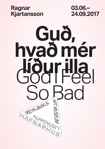

**03.06.– 24.09.2017**

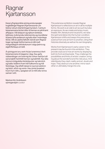# Ragnar Kjartansson

Þessi yfirgripsmikla sýning endurspeglar hugleiðingar Ragnars Kjartanssonar um listina í sínum ótal birtingarmyndum. Í verkum listamannsins birtist óður til hennar en jafnframt afhjúpun. Við sköpum og njótum tónlistar, leikhúss, kvikmynda, bókmennta og myndlistar til þess lyfta andanum og kafa ofan í mannlega tilvist. Allt eru þetta fallvölt vísindi sem Ragnar togar og teygir listformanna á milli með margvíslegum skírskotunum í sögu þeirra og eigið lífshlaup um leið.

Á sýningunni eru verk frá því snemma á ferli listamannsins til dagsins í dag. Þau gefa vísbendingar um hvernig list virkar með því að sýna bæði framhlið hennar og bakhlið. Þau láta reyna á möguleika listsköpunar og takmörk og kalla í leiðinni fram hið fullkomna og hið fáránlega. Og sífellt takast á raunveruleikinn og listin, efinn og vonin. Þau ýmist þvælast hvort fyrir öðru, speglast sín á milli eða renna saman í eitt.

This extensive exhibition reveals Ragnar Kjartansson's reflections on art in all its multiple forms. His work is an ode to art as such but also an exposure. As we create and enjoy music, theater, film, literature and visual arts, we raise the spirit and delve into the human condition. Kjartansson shifts and sways this precarious science from one art form to another, citing their histories diversely as well as his own biography.

Works from Kjartansson's early career to the present may be found in this exhibition. They provide clues as to how art works by displaying both its front and backside. They challenge the possibilities and limits of artistic creation, bringing about the wonderful and the ridiculous. And relentlessly they clash; reality and art, doubt and hope. They obstruct one another, mirror each other or ultimately merge into one.

Markús Þór Andrésson sýningarstjóri curator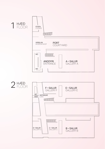

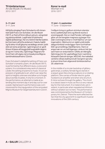### **Til tónlistarinnar**

An die Musik (To Music) 2012 / 2017

#### **3.–11. júní**

3–11 June

Hið ljúfa sönglag Franz Schuberts við rómantískt ljóð Franz von Schober, *An die Musik*  (1817), er flutt af fimm ólíkum pörum, söngrödd og píanóundirleik. Lagið telst til lykilverka sígilds ljóðasöngs. Þar eru listinni færðar þakkir, því hún kann að lyfta andanum í hæstu hæðir og fá okkur til að gleyma veraldlegu amstri, þótt ekki sé nema andartak. Í gjörningnum er gerð tilraun til bess að tevgja það augnablik daginn út og inn í rúma viku. Gjörningur Ragnars fór fyrst fram við vígslu nýrra húsakynna Migros samtímalistasafnsins í Zürich.

Franz Schubert's delightful setting of Franz von Schober's romantic poem, *An die Musik* (1817), is performed by five different duos, a voice and a piano. It is considered a key work of classical *Lieder*, the setting of poems to music. It is an expression of gratitude to art, which can raise the spirit to heights unknown and allow us to forget about worldly troubles, if only for a moment. In the performance, an attempt is made at extending this moment day in and day out for over a week. Kjartansson's performance was commissioned for the inauguration of the renovated Migros Museum für Gegenwartskunst in Zürich.

**Kona í e-moll** Woman in E 2016 / 2017

#### **17. júní – 3. september**  17 June – 3 September

Í miðjum hring úr gylltum strimlum stendur kona í pallíettukjól eins og lifandi stytta á snúningspalli. Hún er með Fender-rafmagnsgítar um öxl tengdan magnara og þegar hún slær á strengina ómar e-moll hljómur um sýningarsalinn. Hljómurinn er sígild undirstaða dægurtónlistar enda liggur hann fyrirhafnarlítið í grunnstillingu hljóðfærisins. Hann er angurvær en um leið ágengur, einkum hér þar sem hann er endurtekinn í sífellu án tilbrigða. Gjörningurinn fór upphaflega fram í samtímalistasafni Detroit-borgar, MOCAD. Þar kallaðist verkið á við þá staðreynd að í borginni spruttu á sínum tíma fram afgerandi tónlistarstefnur 20. aldarinnar.

In the middle of a circular backdrop of glittery gold strips, a solitary female figure stands in a sequin gown like a living sculpture on a rotating platform. She carries a Fender electric guitar hooked to an amplifier and when she strums it, E minor echoes through the gallery. The chord is a classic base in music as this is a very natural key for the instrument. It is melancholic yet insistent, in particular when repeated ad infinitum without variation as it is here. The performance was commissioned by the Museum of Contemporary Art, Detroit. There the work reflected the fact that the city gave birth to significant musical innovations of the 20th century.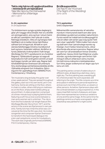#### **Taktu mig hérna við uppþvottavélina - minnisvarði um hjónaband**

Take Me Here by the Dishwasher - Memorial for a Marriage 2011 / 2017

#### **9.–24. september**

9–24 September

Tíu tónlistarmenn syngja og leika daglangt á gítar yfir tveggja vikna tímabil. Þeir eru dreifðir um sýningarsalinn, eins og hver í sínum heimi en allir þó í samhljómi. Þeir tylla sér á stóla, flatmaga á beddum, rölta um og hangsa með hljóðfærin sín á meðan tómar bjórflöskur safnast fyrir kringum þá. Að baki er sýnt síendurtekið þriggja mínútna myndband af karli og konu í ástarleik í eldhúsi. Atriðið er úr fyrstu alíslensku kvikmyndinni í fullri lengd, *Morðsögu* frá 1977, og leikararnir eru foreldrar Ragnars. Í fjölskyldunni gengur sú saga að listamaðurinn hafi verið getinn einmitt um það leyti þegar myndin var tekin upp. Ragnar bað tónskáldið Kjartan Sveinsson að umbreyta hinu stuttaralega samtali þessa ljósbláa atriðis í fjölradda söngverk fyrir trúbadora. Gjörningurinn fór upphaflega fram í BAWAG P.S.K. Contemporary, í Vínarborg.

Ten musicians sing and play the guitar over a two-week period. They are spread throughout the gallery, each as in his own world, yet in one harmony. Some are sitting on the floor, others in chairs or sofas, others still lying on mattresses on the floor, empty beer bottles piling up around them. A video projection comprised of a three-minute loop is playing behind them, featuring a soft-focus love scene between a man and a woman set in a kitchen. The clip is from the first Icelandic full-length feature film, *Morðsaga* (Murder Story) from 1977, and the actors in the scene are Kjartansson's own parents. Family lore has it that the artist was conceived at the time the film was shot. He invited songwriter and composer Kjartan Sveinsson to transform the hackneyed dialogue into a ten-part polyphonic score for troubadours. The work was originally performed at BAWAG P.S.K Contemporary, Vienna.

# **Brúðkaupsnóttin**

Die Nacht der Hochzeit (The Night of the Wedding) 2015–2016

#### **Til 3. september** Until 3 September

Málverkaröðin samanstendur af vatnslitamyndum í mismunandi stærð sem allar sýna dimmbláan og stjörnum prýddan næturhiminn. Fyrsta verkið var málað sem brúðkaupsgjöf til vina en síðan vatt serían upp á sig og ber heiti sem vísar í upphafið. Titillinn kallar fram stund og stað sem vísar í persónulega reynslu og frásögn, hvort heldur listamannsins, okkar áhorfenda eða annarra persóna. Ragnar leikur sér sem fyrr að andstæðum hinnar einstöku upplifunar, í þessu tilviki hjartfólginnar unaðsstundar, og endurtekningar sem birtist í fjölmörgum ólíkum útfærslum sömu myndar. Um leið minna málverkin á leiktjaldamálun fyrri tíma, þegar sviðsmynd var degin upp fyrir senu um nótt.

The painting series consist of watercolours in different sizes, all depicting a dark blue, starry night sky. The first painting was a wedding gift for a friend but later the work expanded, still referring to the origin. The title conjures up a time and a place in reference to personal experience and account, be it that of the artist, us viewers or other persons. As before, Kjartansson plays with the contrast between a unique experience, in this case a heartfelt moment of pleasure, and repetition here represented as numerous variations of one and the same image. At the same time the paintings remind us of early scenography, when a backdrop was painted for a night scene.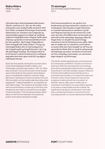# **Stúka Hitlers**

Hitler's Loge 2006

Við endurnýjun Admiralspalast leikhússins í Berlín, snemma á 21. öld, var rifin niður einkastúka sem smíðuð hafði verið árið 1941 fyrir Hitler, svokölluð *Führerloge*. Endursmíði leikhússins var í höndum nýrra eigenda og rekstraraðila og þeirra á meðal var tónlistarmaðurinn Helgi Björnsson. Ragnar hafði veður af þessu og textinn á marmaraskildinum lýsir því sem gerðist: "Ég hringdi í Helga Björns, hann útvegaði mér stúku Hitlers". Þungu og merkingarhlöðnu efni úr heimssögunni er hér hrúgað á gólf og fengið hlutverk í nýrri og öllu léttvægari frásögn. Sú frásögn tekst ef til vill fremur á við hina hárfínu línu á milli þess ægivalds sem listin getur búið yfir og algjörs máttleysis hennar.

Early two thousands, during the reconstruction of the Admiralspalast theater in Berlin, the *Führerloge*, a private loge made in 1941 for Hitler, was removed. The reconstruction of the theater was in the hands of new owners and entrepreneurs, including the Icelandic musician Helgi Björnsson. Kjartansson found out about this and the inscription on the marble slab describes what happened: "I called Helgi Björns, he supplied me with Hitler's loge". The massive and loaded material from world history is piled up on the floor and rendered a new role in a new and more straightforward narrative. That narrative perhaps rather takes on the thin line between the awesome power of art and its absolute triviality.

#### **Til minningar**  Zur Erinnerung (In Memory) 2013

Hvíti marmarastallurinn var gerður fyrir tímabundna sýningu listaverka í opinberu rými í Þýskalandi. Gärtnerplatz-torgið í München er umlukið nýklassískum arkitektúr og féll verk Ragnars þannig vel að umhverfinu. Það sver sig í ætt við hefðbundna minnisvarða um stórmenni eða mikilvæga sögulega viðburði. Þegar betur er að gáð má sjá að á höggmyndina er letruð yfirlýsing annars eðlis: *Alles was er wollte war zu onanieren und Pralinen zu essen* (Allt sem hann langaði var að fróa sér og borða konfekt). Ekki er vísað til nafngreinds einstaklings og verður verkið því minnisvarði um hina venjulegu manneskju, um sammannlegar langanir og tilfinningar.

The white marble pedestal was commissioned for a temporary exhibition of public art works in Germany. With the neoclassical surroundings and manicured gardens Kjartansson's sculpture fit perfectly in the Gärtnerplatz square in Munich. It mimics the traditional remembrance for a prominent personality or an important historical moment. Upon closer inspection we see the sculpture is adorned with an inscription of another nature: *Alles was er wollte war zu onanieren und Pralinen zu essen* (All he wanted to do was to masturbate and eat truffles). No significant individual is mentioned in this reference, rendering the work a monument to the everyday person, to human desires and feelings.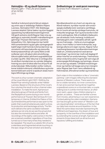#### **Heimsljós – líf og dauði listamanns**

World Light – The Life and Death of an Artist 2015

Verkið er kvikmynd sýnd á fjórum skjáum og unnin upp úr skáldsögu Halldórs Kiljans Laxness, *Heimsljósi* (1937–40). Skáldsaga Laxness skiptist í fjórar bækur og á því byggist uppsetning myndbandsinnsetningarinnar. Við gerð verksins stýrði Ragnar hópi vina og ættingja úr reykvísku listalífi í mánaðarlöngum gjörningi í Thyssen-Bornemiza-samtímalistasafninu í Vín. Gjörningurinn bar heitið *Höll sumarlandsins* og þar gátu sýningargestir bæði fylgst með framrás kvikmyndarinnar og vinnslunni við hana baksviðs og utansviðs. Kvikmyndaverkið býr yfir sama flökti á milli sviða þar sem við sjáum ekki einvörðungu tökuna sjálfa heldur jafnframt augnablikið þar á undan og eftir. Allar tökurnar á rúmlega áttatíu atriðum myndarinnar eru sýndar óklipptar, hvernig svo sem til tókst eða hve oft þurfti að endurtaka þær. Niðurstaðan verður nokkurs konar kúbísk kvikmynd; viðstöðulaus og brotakennd heild sem snertir á epískum skala mannlegra tilfinninga og örlaga.

The work is a four-screen cinematic adaptation of the novel *World Light* (1937–1940) by the Nobel Prize-winning Icelandic writer Halldór Laxness. Based on the structure of the novel's four volumes the result is a four-channel video installation. To make the work, Kjartansson directed a group of friends and family from the Reykjavik art scene during a one-month performance at Thyssen-Bornemisza Art Contemporary in Vienna. Entitled the *Palace of the Summerland* the performance was open to the public that could simultaneously watch a show, its production and backstage activity. The film work delivers the same oscillation between spheres as not only do we see the actual shot but also the moments before and after. All recordings of the eighty-odd scenes in the film are screened unedited, regardless of how they turned out or how many times they needed to be repeated. The result is a cubistic film of sorts; a relentless and fragmented whole touching on the epic range of human emotion and destiny.

**Sviðsetningar úr vestrænni menningu** Scenes from Western Culture 2015

 Myndbandsverkin eru hvert um sig eins og lifandi málverk, kyrrlátar myndir sem endurspegla staðlaðar þrár vestræns samfélags. Þar er hvorki að merkja sýnilega framvindu, né innbyrðis tengingar. Karl og kona borða kvöldmat á veitingahúsi, fólk á hraðbáti á fjallavatni, par að elskast í hvítu herbergi, kvöldsund í heimalauginni, börn velstæðra að leik í garði og svo framvegis ... Þetta eru kunnuglegar senur, hvort heldur úr heimi kvikmynda, auglýsinga eða brunni eigin reynslu. Ragnar hefur í samhengi þessarar myndbandsinnsetningar talað um "innilokunarkennd vestrænnar menningar" og minnir þar með á að daglegt líf okkar hverfist um endurtekningu. Í heimshluta okkar enduróma sömu hugmyndir sem eiga að endurspegla lífsfullnægju og hamingju, drauminn um ást og velsæld. Í ofhlæði innsetningarinnar og með því að teygja senurnar á langinn setur Ragnar þær fram í senn aðlaðandi og fráhrindandi, eftirsóknarverðar og innantómar.

Each video in this installation is like a "cinematic painting", calm images reflecting the standard desires of Western culture. There seems to be no visible narrative, nor inner connections. A man and a woman having dinner together, a speedboat scene on a mountain lake, a couple making love in a white minimal interior, an afternoon swim, upper-class children playing in a garden, et cetera… These are familiar scenes from movies, advertising or our own experience. Contextualizing the video installation, Kjartansson has brought up the notion of "Western culture claustrophobia", reminding us of the fact that our daily lives revolve around repetition. In the West the same ideas resonate representing life fulfilment and happiness, the dream of love and prosperity. In the overflow of the installation and by extending the scenes at length, Kjartansson presents those ideas both as attractive and repulsive, fulfilling and shallow.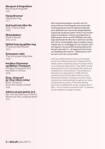#### **Morgunn á Þingvöllum**

Morning at Þingvellir 2007

# **Harpa Brennur**

Harpa Burning 2011

#### **Guð hvað mér líður illa**

God, I Feel so Bad 2008

#### **Skissubækur**

Sketch Books 2004–2015

#### **Djöfull hata ég sjálfan mig**

I Fucking Hate Myself 2005

#### **Schumann-vélin**

The Schumann Machine 2008

#### **Þorlákur Einarsson og Biblían í Feneyjum**

Þorlákur Einarsson and the Bible in Venice 2009

#### **Einar Jónsson? (úr Ókyrrðinni miklu)**

Einar Jónsson? (from the Great Unrest) 2005

#### **Aðeins sá sem þekkir þrá**

Nur wer die Sehnsucht kennt (None but the Longing Heart) 2015

Hér má sjá skissubækur og stök verk frá ýmsum tímum á ferli Ragnars sem ýmist hafa verið sköpuð sem hluti af viðameiri heild eða sem sjálfstæð verk. Þau endurspegla áþekkar hugmyndir og sjá má í stærri verkum og innsetningum á sýningunni. Titilverk sýningarinnar er teikning sem unnin var árið 2008 þar sem setningin *Guð hvað mér líður illa* er sett fram í þrívíðu letri. Hún er endurspeglun þeirrar ljúfsáru angurværðar sem er undirliggjandi í svo mörgum verkum Ragnars. Sú sama tilfinning blandast ýmist efa, þrá, ótta eða trú – að ógleymdri áminningu um dauðleika allra manna – í fjölbreyttum verkum sem unnin eru í ýmsa miðla.

Here you will find sketch books and singular works from different periods of Kjartansson's career, either created as parts of a larger whole or as individual statements. They reflect similar ideas present in the more elaborate works and installations in the exhibition. The exhibition's title piece is a drawing from 2008 with the sentence *God I Feel So Bad* written in three dimensional letters. It evokes the bitter sweet melancholy reverberating throughout so many of Kjartansson's works. That same feeling becomes conflated with doubt, longing, fear or faith – not to mention *memento mori* – in diverse works created in a range of media.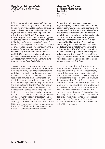#### **Byggingarlist og siðferði**

Architecture and Morality 2016

Málverkaröðin sýnir nútímaleg íbúðahús í því sem virðist vera settlegt hverfi í sólríkri borg. Ef ekki væri fyrir þann stað og stund sem verkin voru unnin væri harla fátt um þessar hæglátu myndir að segja, annað en að tæpa á litleysi úthverfa efri millistéttar. Við gerð verksins dvaldist Ragnar í ísraelskum landtökubyggðum á Vesturbakkanum. Hann málaði undir beru lofti íbúðarhús með svölum, blómabeðum og bílskúrum. Í flatneskju sinni hrópa verkin á þá mótsögn sem felst í tíðindaleysi og meðalmennsku daglegs lífs gagnvart mannlegum harmleik, valdníðslu og stíðsátökum. Heiti verksins er sótt til þriðju plötu bresku hljómsveitarinnar Orchestral Manoeuvres in the Dark (OMD), *Architecture and Morality.* Það var fyrst sýnt í samtímalistasafninu CCA í Tel Aviv.

The painting series portrays modern apartment housing in what seems to be a bourgeois neighborhood in a sunny city. Were it not for the time and place, in which the paintings were created, hardly much could be commented on in these featureless pictures, other than reflecting on the dullness of upper middle class suburbia. To make the work, Kjartansson set up residence in the Israeli settlements in the West Bank region. He captured the surroundings plein-air, urban houses with balconies, plants and garages. In their banality the paintings highlight the contradiction of numbness and mediocracy of daily life amidst the human tragedy of persecution and warfare. The title of the work, *Architecture and Morality*, is borrowed from the 1981 hit record by British synth-pop band Orchestral Manoeuvres in the Dark (OMD). It was first presented in the Centre for Contemporary Art in Tel Aviv.

#### **Magnús Sigurðarson & Ragnar Kjartansson Trúnaður Intimacy** 2004

Samstarfsverk listamannanna og vinanna Ragnars og Magnúsar samanstendur af ólíkum þáttum, ljósmyndum, myndbandi, samtali, pottaplöntum og tónlist. Þar má greina ýmis stef sem enduróma í síðari tíma verkum. Myndbandið sýnir listamennina í hlutverkum biófanna tveggja sem krossfestir voru sitt hvorum megin við Krist. Þeir opna sig hvor fyrir öðrum í einlægu en nokkuð brokkgengu trúnaðarsamtali um lífið, listina og ástina. Hefðbundnar svart hvítar stúdíóljósmyndir sýna listamennina tvo nakta fyrir framan batiktjöld, í faðmlögum sem minna á klassísk máverk og skúlptúra. Tíu ferðageislaspilarar á víð og dreif um gólfið leika upptöku af tregafullum söng trúbadora. Við opnun sýningarinnar í Listasafni ASÍ á sínum tíma léku tónlistarmennirnir sama verk á staðnum.

This early collaborative work of artists and friends, Kjartansson and Sigurðarson, consists of several different elements—photographs, video, dialogue, pot plants and music. It sets the tone for many later works. A video displays the artists in the roles of the two thieves, crucified on each side of Christ. They engage in a sincere, if somewhat patchy dialogue about life, art, and love. Traditional black-and-white studio shots show the two artists in the nude against a backdrop of batik curtains, embraced in various poses reminiscent of classical painting and sculpture. Ten boomboxes spread over the floor play different recordings of troubadours singing a mournful love song. The musicians performed live at the opening of the exhibition in the ASI Art Museum.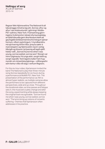#### **Hellingur af sorg**

A Lot of Sorrow 2013–14

Ragnar fékk hljómsveitina The National til að taka þriggja mínútna lag sitt, *Sorrow*, aftur og aftur í sex klukkustundir í gjörningi í MoMa-PS1-safninu í New York. Framsetning gjörningsins í kvikmynd er nánast ofurraunsæisleg, en fjöldi tökuvéla gerir áhorfendum kleift að gaumgæfa tónlistarmennina frá mörgum sjónarhornum, víðum og þröngum. Í myndbandinu má sjá hvernig tíminn líður, þreyta sækir á mannskapinn og hljómsveitin reynir varleg tilbrigði og tilraunir, þó þannig að lagið sjálft heldur velli. "Sorrow found me when I was young, sorrow waited, sorrow won" (Sorgin var minn fylginautur frá unga aldri, sorgin beið og sorgin sigraði). Texti lagsins kallar fram hugmyndir um rómantíska þjáningu – viðfangsefni sem kemur víða við sögu í verkum Ragnars.

For the six-hour video, Kjartansson invited the band The National to play their three-minute song *Sorrow* repeatedly for six hours during a performance at MoMA PS1, New York. The presentation of the performance-as-film is almost hyper realistic, as multiple cameras allow the performers to be captured from different perspectives, wide and up close. Throughout the durational video, as time passes and fatigue sets in, the musicians subtly change and alter the song, experimenting while always keeping the original track recognizable. "Sorrow found me when I was young, sorrow waited, sorrow won." The lyrics bring up notions of romantic suffering – themes that Kjartansson often addresses in his practice.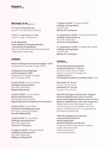# **Pagskrá** me

# **Gjörningar í A-sal** allery A

3.–11. júní: Til tónlistarinnar June 3–11: An die Musik (To Music)

17. júní – 3 . sept.: Kona í e-moll June 17 – Sept. 3: Woman in E

9.–24. september: Taktu mig hérna við uppþvottavélina - minnisvarði um hjónaband, Sept. 9–24: Take Me Here by the Dishwasher - Memorial for a Marriage

# **Leiðsögn**

Almenn leiðsögn á íslensku föstudaga kl. 12:30 Guided tours in Icelandic Fridays 12h30

Leiðsögn á ensku þriðjudaga og fimmtudaga kl. 14:00 Guided tours in English Tuesdays and Thursdays 14h00

8. júní kl. 20:00 / 8 June at 20h00 Leiðsögn samverkamanns Tour with collaborator Magnús Sigurðarson

 15. júní kl. 20:00 / 15 June 20h00 Samtal við listamanninn Conversation with the artist Ragnar Kjartansson & Markús Þór Andrésson

6. júlí kl. 20:00 / 6 July 20h00 Fyrirlestur listfræðings (á ensku) Art Theory Lecture (in English) Bryndís Hafþórsdóttir

 13. júlí kl. 20:00 / 13 July 20h00 Leiðsögn samverkamanns Tour with collaborator Tómas Örn Tómasson

 10. ágúst kl. 20:00 / 10 August 20h00 Leiðsögn samverkamanns Tour with collaborator Hildigunnur Birgisdóttir

 17. ágúst kl. 20:00 / 17 August 20h00 Leiðsögn sýningarstjóra Curator's talk Markús Þór Andrésson

 14. september kl. 20:00 / 14 September 20h00 Leiðsögn samverkamanns Tour with collaborator Kristín Anna Valtýsdóttir

21. september kl. 20:00 / 21 September 20h00 Leiðsögn sýningarstjóra Curator's talk Markús Þór Andrésson

# **Listleikni**

Sumarnámskeið: Spunaleikhús og listnámskeið fyrir 13–16 ára Summer Course: Improv theater and art course for 13–16 years old Leiðbeinandi With Una Margrét Árnadóttir myndlistarmaður artist

Námskeið I 12.–16. júní Course I 12 to 16 June Námskeið II 19.–23. júní Course II 19 to 23 June

Baksviðs hjá Ragnari Kjartanssyni. Fjögurra hluta námskeið þar sem rýnt er í hvernig mismunandi listgreinar fléttast saman í verkum Ragnars. Áætlað fyrstu tvær vikur í september. Ragnar Kjartansson Backstage. Four part course focusing on how different art forms appear in Kjartansson's art. On schedule first two weeks of September.

Viðburðir á dagskrá eru á íslensku nema annað sé tekið fram Nánari upplýsingar: listasafnreykjavikur.is/vidburdir Programme events take place in Icelandic unless otherwise noted Further programme: artmuseum.is/events